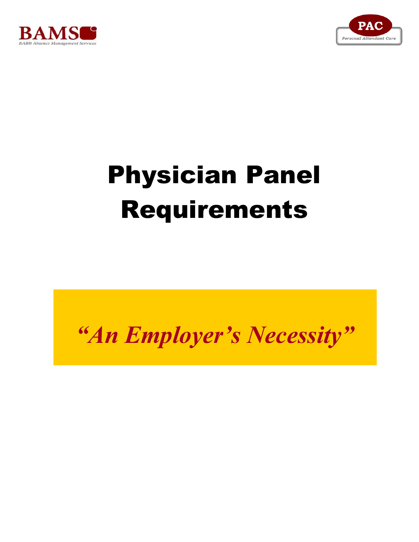



## Physician Panel Requirements

## *"An Employer's Necessity"*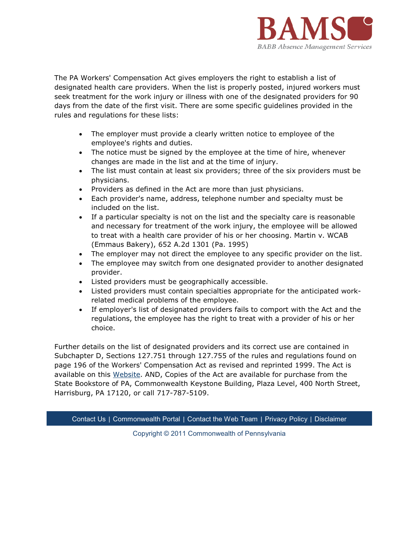

The PA Workers' Compensation Act gives employers the right to establish a list of designated health care providers. When the list is properly posted, injured workers must seek treatment for the work injury or illness with one of the designated providers for 90 days from the date of the first visit. There are some specific guidelines provided in the rules and regulations for these lists:

- The employer must provide a clearly written notice to employee of the employee's rights and duties.
- The notice must be signed by the employee at the time of hire, whenever changes are made in the list and at the time of injury.
- The list must contain at least six providers; three of the six providers must be physicians.
- Providers as defined in the Act are more than just physicians.
- Each provider's name, address, telephone number and specialty must be included on the list.
- If a particular specialty is not on the list and the specialty care is reasonable and necessary for treatment of the work injury, the employee will be allowed to treat with a health care provider of his or her choosing. Martin v. WCAB (Emmaus Bakery), 652 A.2d 1301 (Pa. 1995)
- The employer may not direct the employee to any specific provider on the list.
- The employee may switch from one designated provider to another designated provider.
- Listed providers must be geographically accessible.
- Listed providers must contain specialties appropriate for the anticipated workrelated medical problems of the employee.
- If employer's list of designated providers fails to comport with the Act and the regulations, the employee has the right to treat with a provider of his or her choice.

Further details on the list of designated providers and its correct use are contained in Subchapter D, Sections 127.751 through 127.755 of the rules and regulations found on page 196 of the Workers' Compensation Act as revised and reprinted 1999. The Act is available on this Website. AND, Copies of the Act are available for purchase from the State Bookstore of PA, Commonwealth Keystone Building, Plaza Level, 400 North Street, Harrisburg, PA 17120, or call 717-787-5109.

Contact Us | Commonwealth Portal | Contact the Web Team | Privacy Policy | Disclaimer

Copyright © 2011 Commonwealth of Pennsylvania